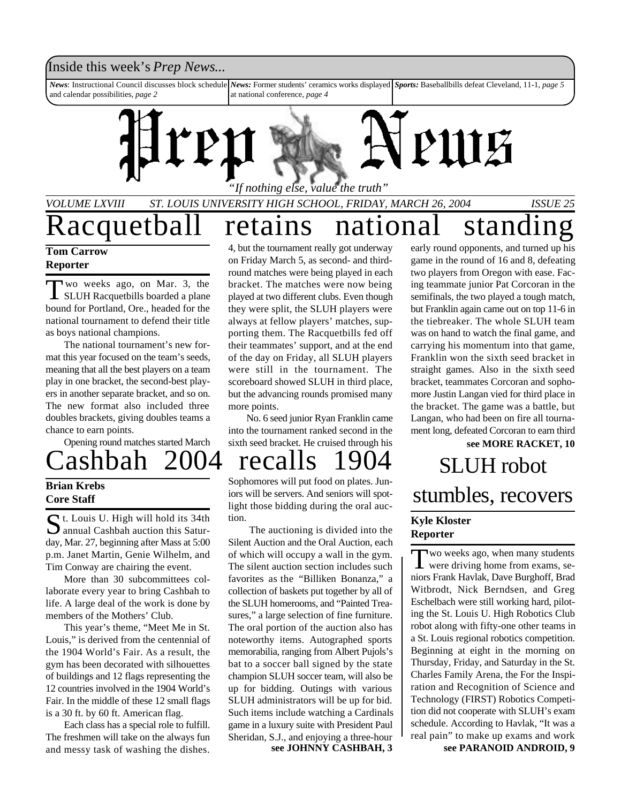### Inside this week's *Prep News*...

*News*: Instructional Council discusses block schedule and calendar possibilities, *page 2 News:* Former students' ceramics works displayed *Sports:* Baseballbills defeat Cleveland, 11-1, *page 5* at national conference, *page 4*



*VOLUME LXVIII ST. LOUIS UNIVERSITY HIGH SCHOOL, FRIDAY, MARCH 26, 2004 ISSUE 25*

Racquetball retains national standin

#### **Tom Carrow Reporter**

Two weeks ago, on Mar. 3, the<br>SLUH Racquetbills boarded a plane wo weeks ago, on Mar. 3, the bound for Portland, Ore., headed for the national tournament to defend their title as boys national champions.

The national tournament's new format this year focused on the team's seeds, meaning that all the best players on a team play in one bracket, the second-best players in another separate bracket, and so on. The new format also included three doubles brackets, giving doubles teams a chance to earn points.

Opening round matches started March

#### **Brian Krebs Core Staff**

St. Louis U. High will hold its 34th<br>annual Cashbah auction this Satur- $\sum$  t. Louis U. High will hold its 34th day, Mar. 27, beginning after Mass at 5:00 p.m. Janet Martin, Genie Wilhelm, and Tim Conway are chairing the event.

More than 30 subcommittees collaborate every year to bring Cashbah to life. A large deal of the work is done by members of the Mothers' Club.

This year's theme, "Meet Me in St. Louis," is derived from the centennial of the 1904 World's Fair. As a result, the gym has been decorated with silhouettes of buildings and 12 flags representing the 12 countries involved in the 1904 World's Fair. In the middle of these 12 small flags is a 30 ft. by 60 ft. American flag.

Each class has a special role to fulfill. The freshmen will take on the always fun and messy task of washing the dishes.

4, but the tournament really got underway on Friday March 5, as second- and thirdround matches were being played in each bracket. The matches were now being played at two different clubs. Even though they were split, the SLUH players were always at fellow players' matches, supporting them. The Racquetbills fed off their teammates' support, and at the end of the day on Friday, all SLUH players were still in the tournament. The scoreboard showed SLUH in third place, but the advancing rounds promised many more points.

No. 6 seed junior Ryan Franklin came into the tournament ranked second in the sixth seed bracket. He cruised through his

## Cashbah 2004 recalls 1904 SLUH robot

Sophomores will put food on plates. Juniors will be servers. And seniors will spotlight those bidding during the oral auction.

 The auctioning is divided into the Silent Auction and the Oral Auction, each of which will occupy a wall in the gym. The silent auction section includes such favorites as the "Billiken Bonanza," a collection of baskets put together by all of the SLUH homerooms, and "Painted Treasures," a large selection of fine furniture. The oral portion of the auction also has noteworthy items. Autographed sports memorabilia, ranging from Albert Pujols's bat to a soccer ball signed by the state champion SLUH soccer team, will also be up for bidding. Outings with various SLUH administrators will be up for bid. Such items include watching a Cardinals game in a luxury suite with President Paul Sheridan, S.J., and enjoying a three-hour

**see MORE RACKET, 10** early round opponents, and turned up his game in the round of 16 and 8, defeating two players from Oregon with ease. Facing teammate junior Pat Corcoran in the semifinals, the two played a tough match, but Franklin again came out on top 11-6 in the tiebreaker. The whole SLUH team was on hand to watch the final game, and carrying his momentum into that game, Franklin won the sixth seed bracket in straight games. Also in the sixth seed bracket, teammates Corcoran and sophomore Justin Langan vied for third place in the bracket. The game was a battle, but Langan, who had been on fire all tournament long, defeated Corcoran to earn third

# stumbles, recovers

#### **Kyle Kloster Reporter**

Two weeks ago, when many students<br>were driving home from exams, sewo weeks ago, when many students niors Frank Havlak, Dave Burghoff, Brad Witbrodt, Nick Berndsen, and Greg Eschelbach were still working hard, piloting the St. Louis U. High Robotics Club robot along with fifty-one other teams in a St. Louis regional robotics competition. Beginning at eight in the morning on Thursday, Friday, and Saturday in the St. Charles Family Arena, the For the Inspiration and Recognition of Science and Technology (FIRST) Robotics Competition did not cooperate with SLUH's exam schedule. According to Havlak, "It was a real pain" to make up exams and work

**see JOHNNY CASHBAH, 3 see PARANOID ANDROID, 9**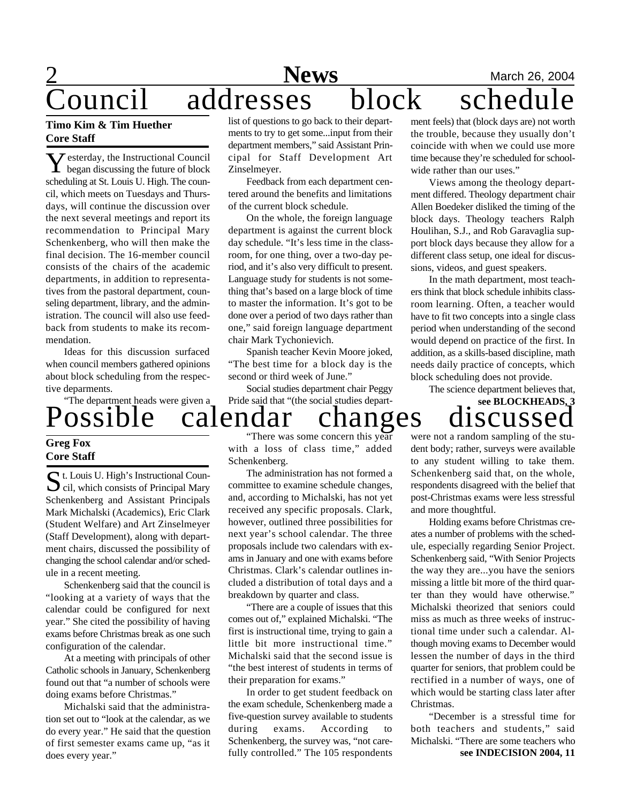## **2** Mews March 26, 2004 ouncil addresses block schedu

#### **Timo Kim & Tim Huether Core Staff**

Y began discussing the future of block  $\bar{Z}$  esterday, the Instructional Council scheduling at St. Louis U. High. The council, which meets on Tuesdays and Thursdays, will continue the discussion over the next several meetings and report its recommendation to Principal Mary Schenkenberg, who will then make the final decision. The 16-member council consists of the chairs of the academic departments, in addition to representatives from the pastoral department, counseling department, library, and the administration. The council will also use feedback from students to make its recommendation.

Ideas for this discussion surfaced when council members gathered opinions about block scheduling from the respective deparments.

Possible calendar changes discussed "The department heads were given a

#### **Greg Fox Core Staff**

 $S$ t. Louis U. High's Instructional Council, which consists of Principal Mary cil, which consists of Principal Mary Schenkenberg and Assistant Principals Mark Michalski (Academics), Eric Clark (Student Welfare) and Art Zinselmeyer (Staff Development), along with department chairs, discussed the possibility of changing the school calendar and/or schedule in a recent meeting.

Schenkenberg said that the council is "looking at a variety of ways that the calendar could be configured for next year." She cited the possibility of having exams before Christmas break as one such configuration of the calendar.

At a meeting with principals of other Catholic schools in January, Schenkenberg found out that "a number of schools were doing exams before Christmas."

Michalski said that the administration set out to "look at the calendar, as we do every year." He said that the question of first semester exams came up, "as it does every year."

list of questions to go back to their departments to try to get some...input from their department members," said Assistant Principal for Staff Development Art Zinselmeyer.

Feedback from each department centered around the benefits and limitations of the current block schedule.

On the whole, the foreign language department is against the current block day schedule. "It's less time in the classroom, for one thing, over a two-day period, and it's also very difficult to present. Language study for students is not something that's based on a large block of time to master the information. It's got to be done over a period of two days rather than one," said foreign language department chair Mark Tychonievich.

Spanish teacher Kevin Moore joked, "The best time for a block day is the second or third week of June."

Social studies department chair Peggy Pride said that "(the social studies depart-

ment feels) that (block days are) not worth the trouble, because they usually don't coincide with when we could use more time because they're scheduled for schoolwide rather than our uses."

Views among the theology department differed. Theology department chair Allen Boedeker disliked the timing of the block days. Theology teachers Ralph Houlihan, S.J., and Rob Garavaglia support block days because they allow for a different class setup, one ideal for discussions, videos, and guest speakers.

In the math department, most teachers think that block schedule inhibits classroom learning. Often, a teacher would have to fit two concepts into a single class period when understanding of the second would depend on practice of the first. In addition, as a skills-based discipline, math needs daily practice of concepts, which block scheduling does not provide.

The science department believes that,

**see BLOCKHEADS, 3**

"There was some concern this year with a loss of class time," added Schenkenberg.

The administration has not formed a committee to examine schedule changes, and, according to Michalski, has not yet received any specific proposals. Clark, however, outlined three possibilities for next year's school calendar. The three proposals include two calendars with exams in January and one with exams before Christmas. Clark's calendar outlines included a distribution of total days and a breakdown by quarter and class.

"There are a couple of issues that this comes out of," explained Michalski. "The first is instructional time, trying to gain a little bit more instructional time." Michalski said that the second issue is "the best interest of students in terms of their preparation for exams."

In order to get student feedback on the exam schedule, Schenkenberg made a five-question survey available to students during exams. According to Schenkenberg, the survey was, "not carefully controlled." The 105 respondents

were not a random sampling of the student body; rather, surveys were available to any student willing to take them. Schenkenberg said that, on the whole, respondents disagreed with the belief that post-Christmas exams were less stressful and more thoughtful.

Holding exams before Christmas creates a number of problems with the schedule, especially regarding Senior Project. Schenkenberg said, "With Senior Projects the way they are...you have the seniors missing a little bit more of the third quarter than they would have otherwise." Michalski theorized that seniors could miss as much as three weeks of instructional time under such a calendar. Although moving exams to December would lessen the number of days in the third quarter for seniors, that problem could be rectified in a number of ways, one of which would be starting class later after Christmas.

**see INDECISION 2004, 11** "December is a stressful time for both teachers and students," said Michalski. "There are some teachers who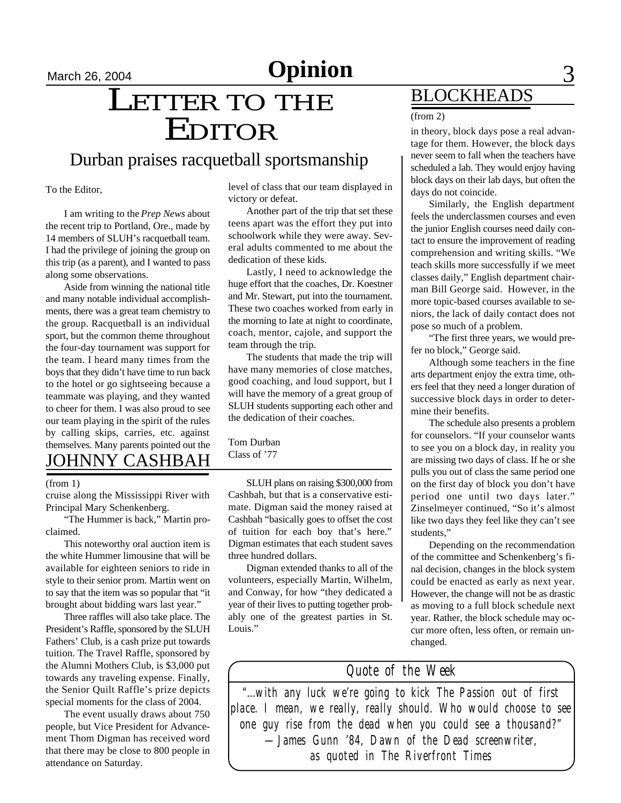# March 26, 2004 **Opinion** 3

# March 26, 2004<br>
LETTER TO THE EDITOR

### Durban praises racquetball sportsmanship

To the Editor,

I am writing to the *Prep News* about the recent trip to Portland, Ore., made by 14 members of SLUH's racquetball team. I had the privilege of joining the group on this trip (as a parent), and I wanted to pass along some observations.

Aside from winning the national title and many notable individual accomplishments, there was a great team chemistry to the group. Racquetball is an individual sport, but the common theme throughout the four-day tournament was support for the team. I heard many times from the boys that they didn't have time to run back to the hotel or go sightseeing because a teammate was playing, and they wanted to cheer for them. I was also proud to see our team playing in the spirit of the rules by calling skips, carries, etc. against themselves. Many parents pointed out the

## JOHNNY CASHBAH

#### (from 1)

cruise along the Mississippi River with Principal Mary Schenkenberg.

"The Hummer is back," Martin proclaimed.

This noteworthy oral auction item is the white Hummer limousine that will be available for eighteen seniors to ride in style to their senior prom. Martin went on to say that the item was so popular that "it brought about bidding wars last year."

Three raffles will also take place. The President's Raffle, sponsored by the SLUH Fathers' Club, is a cash prize put towards tuition. The Travel Raffle, sponsored by the Alumni Mothers Club, is \$3,000 put towards any traveling expense. Finally, the Senior Quilt Raffle's prize depicts special moments for the class of 2004.

The event usually draws about 750 people, but Vice President for Advancement Thom Digman has received word that there may be close to 800 people in attendance on Saturday.

level of class that our team displayed in victory or defeat.

Another part of the trip that set these teens apart was the effort they put into schoolwork while they were away. Several adults commented to me about the dedication of these kids.

Lastly, I need to acknowledge the huge effort that the coaches, Dr. Koestner and Mr. Stewart, put into the tournament. These two coaches worked from early in the morning to late at night to coordinate, coach, mentor, cajole, and support the team through the trip.

The students that made the trip will have many memories of close matches, good coaching, and loud support, but I will have the memory of a great group of SLUH students supporting each other and the dedication of their coaches.

Tom Durban Class of '77

SLUH plans on raising \$300,000 from Cashbah, but that is a conservative estimate. Digman said the money raised at Cashbah "basically goes to offset the cost of tuition for each boy that's here." Digman estimates that each student saves three hundred dollars.

Digman extended thanks to all of the volunteers, especially Martin, Wilhelm, and Conway, for how "they dedicated a year of their lives to putting together probably one of the greatest parties in St. Louis."

## BLOCKHEADS

#### (from 2)

in theory, block days pose a real advantage for them. However, the block days never seem to fall when the teachers have scheduled a lab. They would enjoy having block days on their lab days, but often the days do not coincide.

Similarly, the English department feels the underclassmen courses and even the junior English courses need daily contact to ensure the improvement of reading comprehension and writing skills. "We teach skills more successfully if we meet classes daily," English department chairman Bill George said. However, in the more topic-based courses available to seniors, the lack of daily contact does not pose so much of a problem.

"The first three years, we would prefer no block," George said.

Although some teachers in the fine arts department enjoy the extra time, others feel that they need a longer duration of successive block days in order to determine their benefits.

The schedule also presents a problem for counselors. "If your counselor wants to see you on a block day, in reality you are missing two days of class. If he or she pulls you out of class the same period one on the first day of block you don't have period one until two days later." Zinselmeyer continued, "So it's almost like two days they feel like they can't see students,"

Depending on the recommendation of the committee and Schenkenberg's final decision, changes in the block system could be enacted as early as next year. However, the change will not be as drastic as moving to a full block schedule next year. Rather, the block schedule may occur more often, less often, or remain unchanged.

### *Quote of the Week*

*"...with any luck we're going to kick The Passion out of first place. I mean, we really, really should. Who would choose to see one guy rise from the dead when you could see a thousand?" —James Gunn '84, Dawn of the Dead screenwriter, as quoted in The Riverfront Times*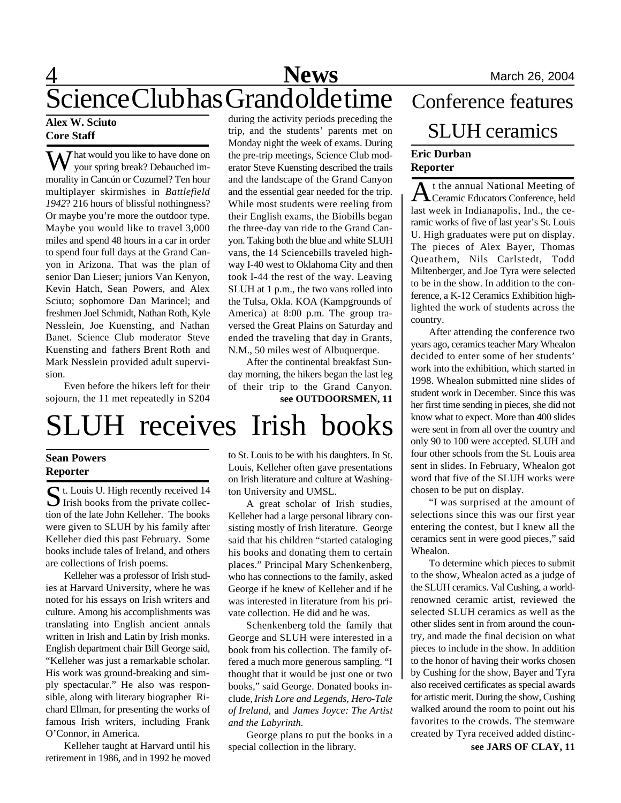## 4 **News** March 26, 2004 Science Club has Grand olde time Conference features

#### **Alex W. Sciuto Core Staff**

 $\sum$  hat would you like to have done on your spring break? Debauched immorality in Cancún or Cozumel? Ten hour multiplayer skirmishes in *Battlefield 1942*? 216 hours of blissful nothingness? Or maybe you're more the outdoor type. Maybe you would like to travel 3,000 miles and spend 48 hours in a car in order to spend four full days at the Grand Canyon in Arizona. That was the plan of senior Dan Lieser; juniors Van Kenyon, Kevin Hatch, Sean Powers, and Alex Sciuto; sophomore Dan Marincel; and freshmen Joel Schmidt, Nathan Roth, Kyle Nesslein, Joe Kuensting, and Nathan Banet. Science Club moderator Steve Kuensting and fathers Brent Roth and Mark Nesslein provided adult supervision.

Even before the hikers left for their sojourn, the 11 met repeatedly in S204

during the activity periods preceding the trip, and the students' parents met on Monday night the week of exams. During the pre-trip meetings, Science Club moderator Steve Kuensting described the trails and the landscape of the Grand Canyon and the essential gear needed for the trip. While most students were reeling from their English exams, the Biobills began the three-day van ride to the Grand Canyon. Taking both the blue and white SLUH vans, the 14 Sciencebills traveled highway I-40 west to Oklahoma City and then took I-44 the rest of the way. Leaving SLUH at 1 p.m., the two vans rolled into the Tulsa, Okla. KOA (Kampgrounds of America) at 8:00 p.m. The group traversed the Great Plains on Saturday and ended the traveling that day in Grants, N.M., 50 miles west of Albuquerque.

**see OUTDOORSMEN, 11** After the continental breakfast Sunday morning, the hikers began the last leg of their trip to the Grand Canyon.

# SLUH receives Irish books

#### **Sean Powers Reporter**

St. Louis U. High recently received 14<br>Irish books from the private collec- $\sum$  Irish books from the private collection of the late John Kelleher. The books were given to SLUH by his family after Kelleher died this past February. Some books include tales of Ireland, and others are collections of Irish poems.

Kelleher was a professor of Irish studies at Harvard University, where he was noted for his essays on Irish writers and culture. Among his accomplishments was translating into English ancient annals written in Irish and Latin by Irish monks. English department chair Bill George said, "Kelleher was just a remarkable scholar. His work was ground-breaking and simply spectacular." He also was responsible, along with literary biographer Richard Ellman, for presenting the works of famous Irish writers, including Frank O'Connor, in America.

Kelleher taught at Harvard until his retirement in 1986, and in 1992 he moved

to St. Louis to be with his daughters. In St. Louis, Kelleher often gave presentations on Irish literature and culture at Washington University and UMSL.

A great scholar of Irish studies, Kelleher had a large personal library consisting mostly of Irish literature. George said that his children "started cataloging his books and donating them to certain places." Principal Mary Schenkenberg, who has connections to the family, asked George if he knew of Kelleher and if he was interested in literature from his private collection. He did and he was.

Schenkenberg told the family that George and SLUH were interested in a book from his collection. The family offered a much more generous sampling. "I thought that it would be just one or two books," said George. Donated books include, *Irish Lore and Legends, Hero-Tale of Ireland,* and *James Joyce: The Artist and the Labyrinth.*

George plans to put the books in a special collection in the library.

# **Eric Durban** SLUH ceramics

## **Reporter**

At the annual National Meeting of<br>Ceramic Educators Conference, held t the annual National Meeting of last week in Indianapolis, Ind., the ceramic works of five of last year's St. Louis U. High graduates were put on display. The pieces of Alex Bayer, Thomas Queathem, Nils Carlstedt, Todd Miltenberger, and Joe Tyra were selected to be in the show. In addition to the conference, a K-12 Ceramics Exhibition highlighted the work of students across the country.

After attending the conference two years ago, ceramics teacher Mary Whealon decided to enter some of her students' work into the exhibition, which started in 1998. Whealon submitted nine slides of student work in December. Since this was her first time sending in pieces, she did not know what to expect. More than 400 slides were sent in from all over the country and only 90 to 100 were accepted. SLUH and four other schools from the St. Louis area sent in slides. In February, Whealon got word that five of the SLUH works were chosen to be put on display.

"I was surprised at the amount of selections since this was our first year entering the contest, but I knew all the ceramics sent in were good pieces," said Whealon.

To determine which pieces to submit to the show, Whealon acted as a judge of the SLUH ceramics. Val Cushing, a worldrenowned ceramic artist, reviewed the selected SLUH ceramics as well as the other slides sent in from around the country, and made the final decision on what pieces to include in the show. In addition to the honor of having their works chosen by Cushing for the show, Bayer and Tyra also received certificates as special awards for artistic merit. During the show, Cushing walked around the room to point out his favorites to the crowds. The stemware created by Tyra received added distinc-

**see JARS OF CLAY, 11**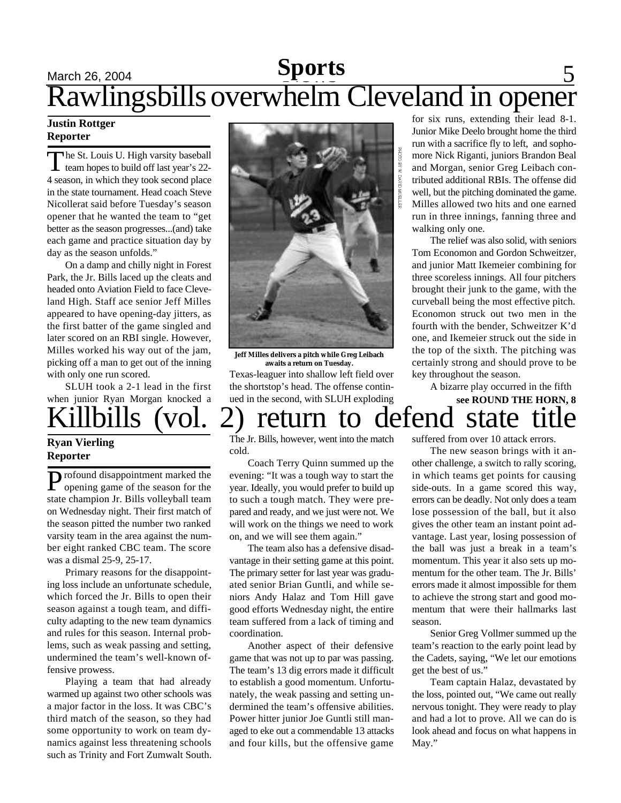### March 26, 2004 **Sports** 5 **Sports** Rawlingsbills overwhelm Cleveland in opener

#### **Justin Rottger Reporter**

The St. Louis U. High varsity baseball<br>team hopes to build off last year's 22he St. Louis U. High varsity baseball 4 season, in which they took second place in the state tournament. Head coach Steve Nicollerat said before Tuesday's season opener that he wanted the team to "get better as the season progresses...(and) take each game and practice situation day by day as the season unfolds."

On a damp and chilly night in Forest Park, the Jr. Bills laced up the cleats and headed onto Aviation Field to face Cleveland High. Staff ace senior Jeff Milles appeared to have opening-day jitters, as the first batter of the game singled and later scored on an RBI single. However, Milles worked his way out of the jam, picking off a man to get out of the inning with only one run scored.

SLUH took a 2-1 lead in the first when junior Ryan Morgan knocked a

#### **Ryan Vierling Reporter**

Profound disappointment marked the<br>opening game of the season for the rofound disappointment marked the state champion Jr. Bills volleyball team on Wednesday night. Their first match of the season pitted the number two ranked varsity team in the area against the number eight ranked CBC team. The score was a dismal 25-9, 25-17.

Primary reasons for the disappointing loss include an unfortunate schedule, which forced the Jr. Bills to open their season against a tough team, and difficulty adapting to the new team dynamics and rules for this season. Internal problems, such as weak passing and setting, undermined the team's well-known offensive prowess.

Playing a team that had already warmed up against two other schools was a major factor in the loss. It was CBC's third match of the season, so they had some opportunity to work on team dynamics against less threatening schools such as Trinity and Fort Zumwalt South.



**Jeff Milles delivers a pitch while Greg Leibach awaits a return on Tuesday.**

Texas-leaguer into shallow left field over the shortstop's head. The offense continued in the second, with SLUH exploding for six runs, extending their lead 8-1. Junior Mike Deelo brought home the third run with a sacrifice fly to left, and sophomore Nick Riganti, juniors Brandon Beal and Morgan, senior Greg Leibach contributed additional RBIs. The offense did well, but the pitching dominated the game. Milles allowed two hits and one earned run in three innings, fanning three and walking only one.

The relief was also solid, with seniors Tom Economon and Gordon Schweitzer, and junior Matt Ikemeier combining for three scoreless innings. All four pitchers brought their junk to the game, with the curveball being the most effective pitch. Economon struck out two men in the fourth with the bender, Schweitzer K'd one, and Ikemeier struck out the side in the top of the sixth. The pitching was certainly strong and should prove to be key throughout the season.

A bizarre play occurred in the fifth

### llbills (vol. 2) return to defend state **see ROUND THE HORN, 8**

The Jr. Bills, however, went into the match cold.

Coach Terry Quinn summed up the evening: "It was a tough way to start the year. Ideally, you would prefer to build up to such a tough match. They were prepared and ready, and we just were not. We will work on the things we need to work on, and we will see them again."

The team also has a defensive disadvantage in their setting game at this point. The primary setter for last year was graduated senior Brian Guntli, and while seniors Andy Halaz and Tom Hill gave good efforts Wednesday night, the entire team suffered from a lack of timing and coordination.

Another aspect of their defensive game that was not up to par was passing. The team's 13 dig errors made it difficult to establish a good momentum. Unfortunately, the weak passing and setting undermined the team's offensive abilities. Power hitter junior Joe Guntli still managed to eke out a commendable 13 attacks and four kills, but the offensive game

suffered from over 10 attack errors.

The new season brings with it another challenge, a switch to rally scoring, in which teams get points for causing side-outs. In a game scored this way, errors can be deadly. Not only does a team lose possession of the ball, but it also gives the other team an instant point advantage. Last year, losing possession of the ball was just a break in a team's momentum. This year it also sets up momentum for the other team. The Jr. Bills' errors made it almost impossible for them to achieve the strong start and good momentum that were their hallmarks last season.

Senior Greg Vollmer summed up the team's reaction to the early point lead by the Cadets, saying, "We let our emotions get the best of us."

Team captain Halaz, devastated by the loss, pointed out, "We came out really nervous tonight. They were ready to play and had a lot to prove. All we can do is look ahead and focus on what happens in May."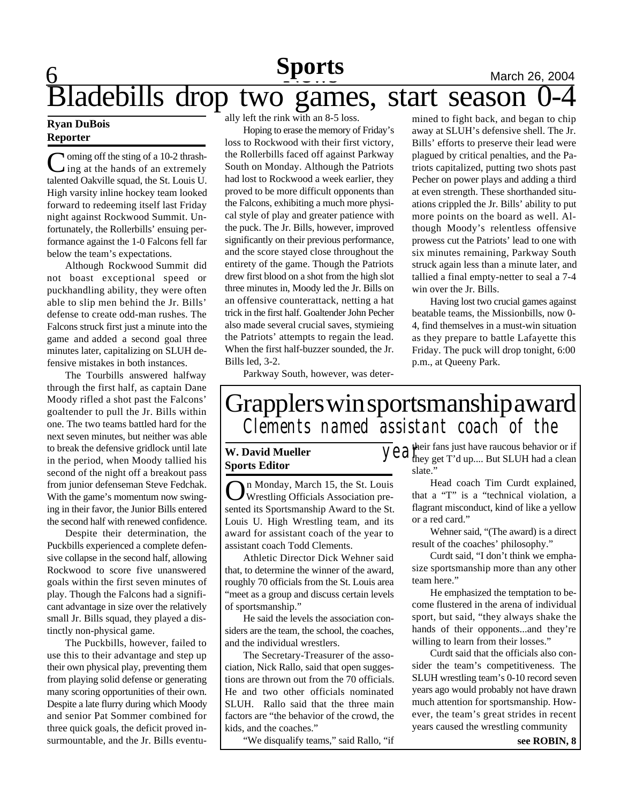## $\overline{\mathsf{Q}}$ **Sports** March 26, 2004 Bladebills drop two games, start season 0-4

#### **Ryan DuBois Reporter**

Coming off the sting of a 10-2 thrash-<br>ing at the hands of an extremely  $\lambda$  ing at the hands of an extremely talented Oakville squad, the St. Louis U. High varsity inline hockey team looked forward to redeeming itself last Friday night against Rockwood Summit. Unfortunately, the Rollerbills' ensuing performance against the 1-0 Falcons fell far below the team's expectations.

Although Rockwood Summit did not boast exceptional speed or puckhandling ability, they were often able to slip men behind the Jr. Bills' defense to create odd-man rushes. The Falcons struck first just a minute into the game and added a second goal three minutes later, capitalizing on SLUH defensive mistakes in both instances.

The Tourbills answered halfway through the first half, as captain Dane Moody rifled a shot past the Falcons' goaltender to pull the Jr. Bills within one. The two teams battled hard for the next seven minutes, but neither was able to break the defensive gridlock until late in the period, when Moody tallied his second of the night off a breakout pass from junior defenseman Steve Fedchak. With the game's momentum now swinging in their favor, the Junior Bills entered the second half with renewed confidence.

Despite their determination, the Puckbills experienced a complete defensive collapse in the second half, allowing Rockwood to score five unanswered goals within the first seven minutes of play. Though the Falcons had a significant advantage in size over the relatively small Jr. Bills squad, they played a distinctly non-physical game.

The Puckbills, however, failed to use this to their advantage and step up their own physical play, preventing them from playing solid defense or generating many scoring opportunities of their own. Despite a late flurry during which Moody and senior Pat Sommer combined for three quick goals, the deficit proved insurmountable, and the Jr. Bills eventually left the rink with an 8-5 loss.

Hoping to erase the memory of Friday's loss to Rockwood with their first victory, the Rollerbills faced off against Parkway South on Monday. Although the Patriots had lost to Rockwood a week earlier, they proved to be more difficult opponents than the Falcons, exhibiting a much more physical style of play and greater patience with the puck. The Jr. Bills, however, improved significantly on their previous performance, and the score stayed close throughout the entirety of the game. Though the Patriots drew first blood on a shot from the high slot three minutes in, Moody led the Jr. Bills on an offensive counterattack, netting a hat trick in the first half. Goaltender John Pecher also made several crucial saves, stymieing the Patriots' attempts to regain the lead. When the first half-buzzer sounded, the Jr. Bills led, 3-2.

mined to fight back, and began to chip away at SLUH's defensive shell. The Jr. Bills' efforts to preserve their lead were plagued by critical penalties, and the Patriots capitalized, putting two shots past Pecher on power plays and adding a third at even strength. These shorthanded situations crippled the Jr. Bills' ability to put more points on the board as well. Although Moody's relentless offensive prowess cut the Patriots' lead to one with six minutes remaining, Parkway South struck again less than a minute later, and tallied a final empty-netter to seal a 7-4 win over the Jr. Bills.

Having lost two crucial games against beatable teams, the Missionbills, now 0- 4, find themselves in a must-win situation as they prepare to battle Lafayette this Friday. The puck will drop tonight, 6:00 p.m., at Queeny Park.

Parkway South, however, was deter-

## Grapplers win sportsmanship award *Clements named assistant coach of the*

#### **W. David Mueller Sports Editor**

O n Monday, March 15, the St. Louis Wrestling Officials Association presented its Sportsmanship Award to the St. Louis U. High Wrestling team, and its award for assistant coach of the year to assistant coach Todd Clements.

Athletic Director Dick Wehner said that, to determine the winner of the award, roughly 70 officials from the St. Louis area "meet as a group and discuss certain levels of sportsmanship."

He said the levels the association considers are the team, the school, the coaches, and the individual wrestlers.

The Secretary-Treasurer of the association, Nick Rallo, said that open suggestions are thrown out from the 70 officials. He and two other officials nominated SLUH. Rallo said that the three main factors are "the behavior of the crowd, the kids, and the coaches."

"We disqualify teams," said Rallo, "if

 $\overline{\mathcal{Y}}$ *e*  $\mathcal{Z}_{\text{they get T'd up....} }^{\text{their fans}}$  is that subsets the set of if they get T'd up.... But SLUH had a clean slate."

> Head coach Tim Curdt explained, that a "T" is a "technical violation, a flagrant misconduct, kind of like a yellow or a red card."

> Wehner said, "(The award) is a direct result of the coaches' philosophy."

> Curdt said, "I don't think we emphasize sportsmanship more than any other team here."

> He emphasized the temptation to become flustered in the arena of individual sport, but said, "they always shake the hands of their opponents...and they're willing to learn from their losses."

> Curdt said that the officials also consider the team's competitiveness. The SLUH wrestling team's 0-10 record seven years ago would probably not have drawn much attention for sportsmanship. However, the team's great strides in recent years caused the wrestling community

> > **see ROBIN, 8**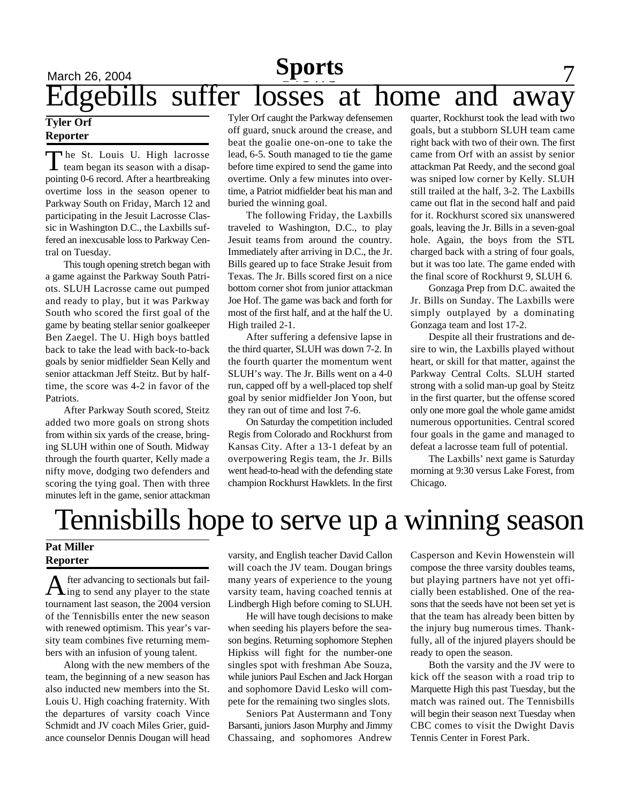## March 26, 2004 **Sports** 7 **Sports** Edgebills suffer losses at home and away

#### **Tyler Orf Reporter**

The St. Louis U. High lacrosse<br>team began its season with a disapteam began its season with a disappointing 0-6 record. After a heartbreaking overtime loss in the season opener to Parkway South on Friday, March 12 and participating in the Jesuit Lacrosse Classic in Washington D.C., the Laxbills suffered an inexcusable loss to Parkway Central on Tuesday.

This tough opening stretch began with a game against the Parkway South Patriots. SLUH Lacrosse came out pumped and ready to play, but it was Parkway South who scored the first goal of the game by beating stellar senior goalkeeper Ben Zaegel. The U. High boys battled back to take the lead with back-to-back goals by senior midfielder Sean Kelly and senior attackman Jeff Steitz. But by halftime, the score was 4-2 in favor of the Patriots.

After Parkway South scored, Steitz added two more goals on strong shots from within six yards of the crease, bringing SLUH within one of South. Midway through the fourth quarter, Kelly made a nifty move, dodging two defenders and scoring the tying goal. Then with three minutes left in the game, senior attackman Tyler Orf caught the Parkway defensemen off guard, snuck around the crease, and beat the goalie one-on-one to take the lead, 6-5. South managed to tie the game before time expired to send the game into overtime. Only a few minutes into overtime, a Patriot midfielder beat his man and buried the winning goal.

The following Friday, the Laxbills traveled to Washington, D.C., to play Jesuit teams from around the country. Immediately after arriving in D.C., the Jr. Bills geared up to face Strake Jesuit from Texas. The Jr. Bills scored first on a nice bottom corner shot from junior attackman Joe Hof. The game was back and forth for most of the first half, and at the half the U. High trailed 2-1.

After suffering a defensive lapse in the third quarter, SLUH was down 7-2. In the fourth quarter the momentum went SLUH's way. The Jr. Bills went on a 4-0 run, capped off by a well-placed top shelf goal by senior midfielder Jon Yoon, but they ran out of time and lost 7-6.

On Saturday the competition included Regis from Colorado and Rockhurst from Kansas City. After a 13-1 defeat by an overpowering Regis team, the Jr. Bills went head-to-head with the defending state champion Rockhurst Hawklets. In the first quarter, Rockhurst took the lead with two goals, but a stubborn SLUH team came right back with two of their own. The first came from Orf with an assist by senior attackman Pat Reedy, and the second goal was sniped low corner by Kelly. SLUH still trailed at the half, 3-2. The Laxbills came out flat in the second half and paid for it. Rockhurst scored six unanswered goals, leaving the Jr. Bills in a seven-goal hole. Again, the boys from the STL charged back with a string of four goals, but it was too late. The game ended with the final score of Rockhurst 9, SLUH 6.

Gonzaga Prep from D.C. awaited the Jr. Bills on Sunday. The Laxbills were simply outplayed by a dominating Gonzaga team and lost 17-2.

Despite all their frustrations and desire to win, the Laxbills played without heart, or skill for that matter, against the Parkway Central Colts. SLUH started strong with a solid man-up goal by Steitz in the first quarter, but the offense scored only one more goal the whole game amidst numerous opportunities. Central scored four goals in the game and managed to defeat a lacrosse team full of potential.

The Laxbills' next game is Saturday morning at 9:30 versus Lake Forest, from Chicago.

## Tennisbills hope to serve up a winning season

#### **Pat Miller Reporter**

 $\displaystyle {\bf A}$  fter advancing to sectionals but fail-<br> $\displaystyle {\bf A}$  ing to send any player to the state fter advancing to sectionals but failtournament last season, the 2004 version of the Tennisbills enter the new season with renewed optimism. This year's varsity team combines five returning members with an infusion of young talent.

Along with the new members of the team, the beginning of a new season has also inducted new members into the St. Louis U. High coaching fraternity. With the departures of varsity coach Vince Schmidt and JV coach Miles Grier, guidance counselor Dennis Dougan will head

varsity, and English teacher David Callon will coach the JV team. Dougan brings many years of experience to the young varsity team, having coached tennis at Lindbergh High before coming to SLUH.

He will have tough decisions to make when seeding his players before the season begins. Returning sophomore Stephen Hipkiss will fight for the number-one singles spot with freshman Abe Souza, while juniors Paul Eschen and Jack Horgan and sophomore David Lesko will compete for the remaining two singles slots.

Seniors Pat Austermann and Tony Barsanti, juniors Jason Murphy and Jimmy Chassaing, and sophomores Andrew Casperson and Kevin Howenstein will compose the three varsity doubles teams, but playing partners have not yet officially been established. One of the reasons that the seeds have not been set yet is that the team has already been bitten by the injury bug numerous times. Thankfully, all of the injured players should be ready to open the season.

Both the varsity and the JV were to kick off the season with a road trip to Marquette High this past Tuesday, but the match was rained out. The Tennisbills will begin their season next Tuesday when CBC comes to visit the Dwight Davis Tennis Center in Forest Park.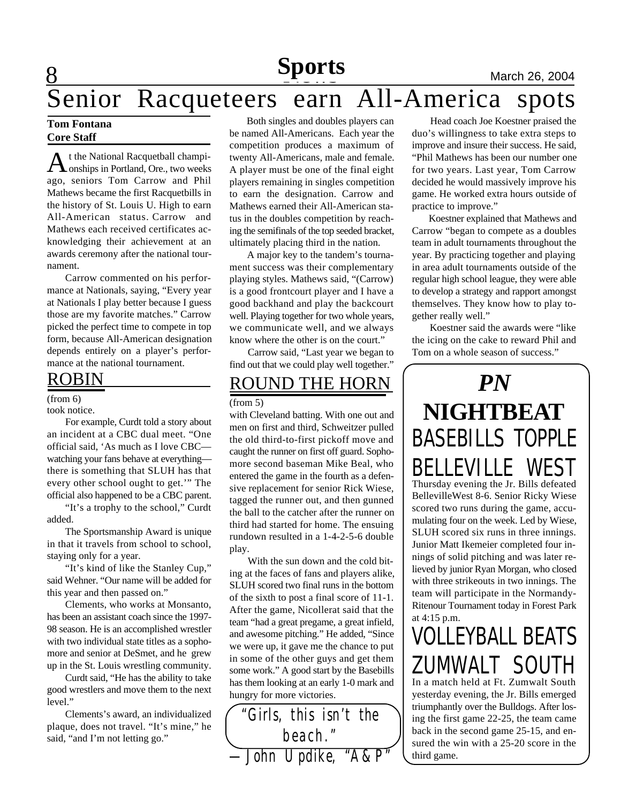## **Sports**<br>
earn All-America spots Senior Racqueteers earn All-America spots

#### **Tom Fontana Core Staff**

8

A t the National Racquetball champi-<br> **A** onships in Portland, Ore., two weeks t the National Racquetball champiago, seniors Tom Carrow and Phil Mathews became the first Racquetbills in the history of St. Louis U. High to earn All-American status. Carrow and Mathews each received certificates acknowledging their achievement at an awards ceremony after the national tournament.

Carrow commented on his performance at Nationals, saying, "Every year at Nationals I play better because I guess those are my favorite matches." Carrow picked the perfect time to compete in top form, because All-American designation depends entirely on a player's performance at the national tournament.

### ROBIN

#### (from 6)

#### took notice.

For example, Curdt told a story about an incident at a CBC dual meet. "One official said, 'As much as I love CBC watching your fans behave at everything there is something that SLUH has that every other school ought to get.'" The official also happened to be a CBC parent.

"It's a trophy to the school," Curdt added.

The Sportsmanship Award is unique in that it travels from school to school, staying only for a year.

"It's kind of like the Stanley Cup," said Wehner. "Our name will be added for this year and then passed on."

Clements, who works at Monsanto, has been an assistant coach since the 1997- 98 season. He is an accomplished wrestler with two individual state titles as a sophomore and senior at DeSmet, and he grew up in the St. Louis wrestling community.

Curdt said, "He has the ability to take good wrestlers and move them to the next level."

Clements's award, an individualized plaque, does not travel. "It's mine," he said, "and I'm not letting go."

 Both singles and doubles players can be named All-Americans. Each year the competition produces a maximum of twenty All-Americans, male and female. A player must be one of the final eight players remaining in singles competition to earn the designation. Carrow and Mathews earned their All-American status in the doubles competition by reaching the semifinals of the top seeded bracket, ultimately placing third in the nation.

 A major key to the tandem's tournament success was their complementary playing styles. Mathews said, "(Carrow) is a good frontcourt player and I have a good backhand and play the backcourt well. Playing together for two whole years, we communicate well, and we always know where the other is on the court."

Carrow said, "Last year we began to find out that we could play well together."

### ROUND THE HORN

#### (from 5)

with Cleveland batting. With one out and men on first and third, Schweitzer pulled the old third-to-first pickoff move and caught the runner on first off guard. Sophomore second baseman Mike Beal, who entered the game in the fourth as a defensive replacement for senior Rick Wiese, tagged the runner out, and then gunned the ball to the catcher after the runner on third had started for home. The ensuing rundown resulted in a 1-4-2-5-6 double play.

With the sun down and the cold biting at the faces of fans and players alike, SLUH scored two final runs in the bottom of the sixth to post a final score of 11-1. After the game, Nicollerat said that the team "had a great pregame, a great infield, and awesome pitching." He added, "Since we were up, it gave me the chance to put in some of the other guys and get them some work." A good start by the Basebills has them looking at an early 1-0 mark and hungry for more victories.

Head coach Joe Koestner praised the duo's willingness to take extra steps to improve and insure their success. He said, "Phil Mathews has been our number one for two years. Last year, Tom Carrow decided he would massively improve his game. He worked extra hours outside of practice to improve."

 Koestner explained that Mathews and Carrow "began to compete as a doubles team in adult tournaments throughout the year. By practicing together and playing in area adult tournaments outside of the regular high school league, they were able to develop a strategy and rapport amongst themselves. They know how to play together really well."

 Koestner said the awards were "like the icing on the cake to reward Phil and Tom on a whole season of success."

## *PN* **NIGHTBEAT** BASEBILLS TOPPLE BELLEVILLE WEST Thursday evening the Jr. Bills defeated BellevilleWest 8-6. Senior Ricky Wiese scored two runs during the game, accu-

mulating four on the week. Led by Wiese, SLUH scored six runs in three innings. Junior Matt Ikemeier completed four innings of solid pitching and was later relieved by junior Ryan Morgan, who closed with three strikeouts in two innings. The team will participate in the Normandy-Ritenour Tournament today in Forest Park at 4:15 p.m.

## VOLLEYBALL BEATS ZUMWALT SOUTH

In a match held at Ft. Zumwalt South yesterday evening, the Jr. Bills emerged triumphantly over the Bulldogs. After losing the first game 22-25, the team came back in the second game 25-15, and ensured the win with a 25-20 score in the third game.

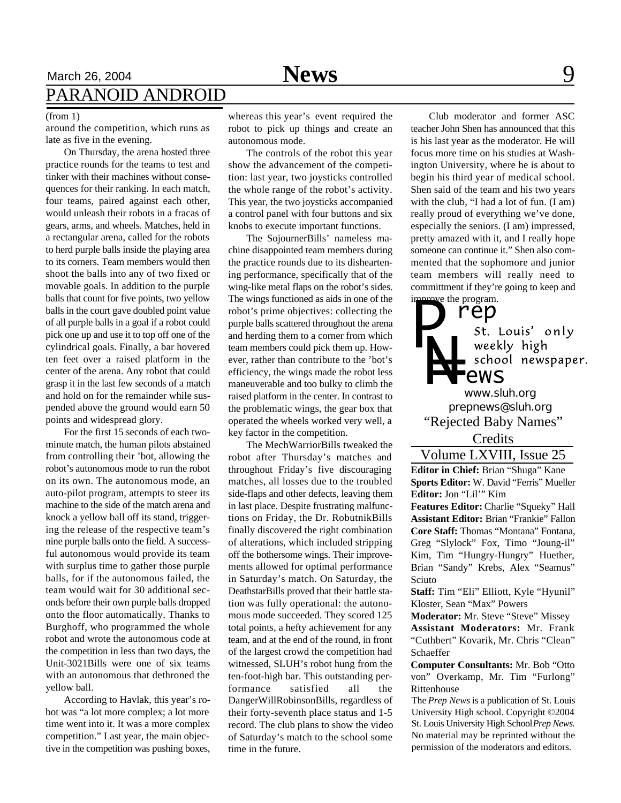## March 26, 2004 **News** 9 PARANOID ANDROID

#### (from 1)

around the competition, which runs as late as five in the evening.

On Thursday, the arena hosted three practice rounds for the teams to test and tinker with their machines without consequences for their ranking. In each match, four teams, paired against each other, would unleash their robots in a fracas of gears, arms, and wheels. Matches, held in a rectangular arena, called for the robots to herd purple balls inside the playing area to its corners. Team members would then shoot the balls into any of two fixed or movable goals. In addition to the purple balls that count for five points, two yellow balls in the court gave doubled point value of all purple balls in a goal if a robot could pick one up and use it to top off one of the cylindrical goals. Finally, a bar hovered ten feet over a raised platform in the center of the arena. Any robot that could grasp it in the last few seconds of a match and hold on for the remainder while suspended above the ground would earn 50 points and widespread glory.

For the first 15 seconds of each twominute match, the human pilots abstained from controlling their 'bot, allowing the robot's autonomous mode to run the robot on its own. The autonomous mode, an auto-pilot program, attempts to steer its machine to the side of the match arena and knock a yellow ball off its stand, triggering the release of the respective team's nine purple balls onto the field. A successful autonomous would provide its team with surplus time to gather those purple balls, for if the autonomous failed, the team would wait for 30 additional seconds before their own purple balls dropped onto the floor automatically. Thanks to Burghoff, who programmed the whole robot and wrote the autonomous code at the competition in less than two days, the Unit-3021Bills were one of six teams with an autonomous that dethroned the yellow ball.

According to Havlak, this year's robot was "a lot more complex; a lot more time went into it. It was a more complex competition." Last year, the main objective in the competition was pushing boxes,

whereas this year's event required the robot to pick up things and create an autonomous mode.

The controls of the robot this year show the advancement of the competition: last year, two joysticks controlled the whole range of the robot's activity. This year, the two joysticks accompanied a control panel with four buttons and six knobs to execute important functions.

The SojournerBills' nameless machine disappointed team members during the practice rounds due to its disheartening performance, specifically that of the wing-like metal flaps on the robot's sides. The wings functioned as aids in one of the robot's prime objectives: collecting the purple balls scattered throughout the arena and herding them to a corner from which team members could pick them up. However, rather than contribute to the 'bot's efficiency, the wings made the robot less maneuverable and too bulky to climb the raised platform in the center. In contrast to the problematic wings, the gear box that operated the wheels worked very well, a key factor in the competition.

The MechWarriorBills tweaked the robot after Thursday's matches and throughout Friday's five discouraging matches, all losses due to the troubled side-flaps and other defects, leaving them in last place. Despite frustrating malfunctions on Friday, the Dr. RobutnikBills finally discovered the right combination of alterations, which included stripping off the bothersome wings. Their improvements allowed for optimal performance in Saturday's match. On Saturday, the DeathstarBills proved that their battle station was fully operational: the autonomous mode succeeded. They scored 125 total points, a hefty achievement for any team, and at the end of the round, in front of the largest crowd the competition had witnessed, SLUH's robot hung from the ten-foot-high bar. This outstanding performance satisfied all the DangerWillRobinsonBills, regardless of their forty-seventh place status and 1-5 record. The club plans to show the video of Saturday's match to the school some time in the future.

Club moderator and former ASC teacher John Shen has announced that this is his last year as the moderator. He will focus more time on his studies at Washington University, where he is about to begin his third year of medical school. Shen said of the team and his two years with the club, "I had a lot of fun. (I am) really proud of everything we've done, especially the seniors. (I am) impressed, pretty amazed with it, and I really hope someone can continue it." Shen also commented that the sophomore and junior team members will really need to committment if they're going to keep and we the program.

### **rep**<br>st. Louis' only *P* weekly high *N=* **Pews** *www.sluh.org prepnews@sluh.org*

"Rejected Baby Names"

Credits

Volume LXVIII, Issue 25

**Editor in Chief:** Brian "Shuga" Kane **Sports Editor:** W. David "Ferris" Mueller **Editor:** Jon "Lil'" Kim

**Features Editor:** Charlie "Squeky" Hall **Assistant Editor:** Brian "Frankie" Fallon **Core Staff:** Thomas "Montana" Fontana, Greg "Slylock" Fox, Timo "Joung-il" Kim, Tim "Hungry-Hungry" Huether, Brian "Sandy" Krebs, Alex "Seamus" Sciuto

**Staff:** Tim "Eli" Elliott, Kyle "Hyunil" Kloster, Sean "Max" Powers

**Moderator:** Mr. Steve "Steve" Missey **Assistant Moderators:** Mr. Frank "Cuthbert" Kovarik, Mr. Chris "Clean" Schaeffer

**Computer Consultants:** Mr. Bob "Otto von" Overkamp, Mr. Tim "Furlong" Rittenhouse

The *Prep News* is a publication of St. Louis University High school. Copyright ©2004 St. Louis University High School *Prep News.* No material may be reprinted without the permission of the moderators and editors.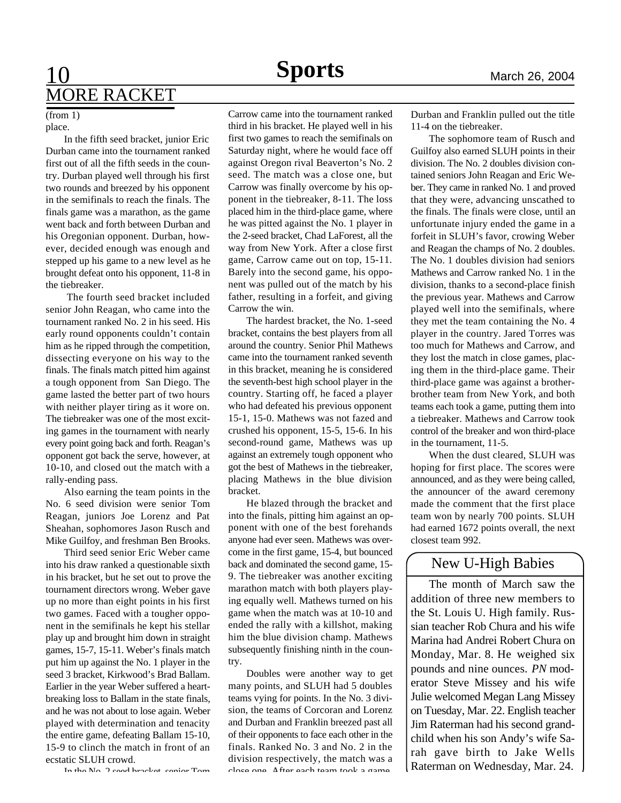## **10 Sports** March 26, 2004 MORE RACKET

#### place. (from 1)

In the fifth seed bracket, junior Eric Durban came into the tournament ranked first out of all the fifth seeds in the country. Durban played well through his first two rounds and breezed by his opponent in the semifinals to reach the finals. The finals game was a marathon, as the game went back and forth between Durban and his Oregonian opponent. Durban, however, decided enough was enough and stepped up his game to a new level as he brought defeat onto his opponent, 11-8 in the tiebreaker.

 The fourth seed bracket included senior John Reagan, who came into the tournament ranked No. 2 in his seed. His early round opponents couldn't contain him as he ripped through the competition, dissecting everyone on his way to the finals. The finals match pitted him against a tough opponent from San Diego. The game lasted the better part of two hours with neither player tiring as it wore on. The tiebreaker was one of the most exciting games in the tournament with nearly every point going back and forth. Reagan's opponent got back the serve, however, at 10-10, and closed out the match with a rally-ending pass.

Also earning the team points in the No. 6 seed division were senior Tom Reagan, juniors Joe Lorenz and Pat Sheahan, sophomores Jason Rusch and Mike Guilfoy, and freshman Ben Brooks.

Third seed senior Eric Weber came into his draw ranked a questionable sixth in his bracket, but he set out to prove the tournament directors wrong. Weber gave up no more than eight points in his first two games. Faced with a tougher opponent in the semifinals he kept his stellar play up and brought him down in straight games, 15-7, 15-11. Weber's finals match put him up against the No. 1 player in the seed 3 bracket, Kirkwood's Brad Ballam. Earlier in the year Weber suffered a heartbreaking loss to Ballam in the state finals, and he was not about to lose again. Weber played with determination and tenacity the entire game, defeating Ballam 15-10, 15-9 to clinch the match in front of an ecstatic SLUH crowd.

Carrow came into the tournament ranked third in his bracket. He played well in his first two games to reach the semifinals on Saturday night, where he would face off against Oregon rival Beaverton's No. 2 seed. The match was a close one, but Carrow was finally overcome by his opponent in the tiebreaker, 8-11. The loss placed him in the third-place game, where he was pitted against the No. 1 player in the 2-seed bracket, Chad LaForest, all the way from New York. After a close first game, Carrow came out on top, 15-11. Barely into the second game, his opponent was pulled out of the match by his father, resulting in a forfeit, and giving Carrow the win.

The hardest bracket, the No. 1-seed bracket, contains the best players from all around the country. Senior Phil Mathews came into the tournament ranked seventh in this bracket, meaning he is considered the seventh-best high school player in the country. Starting off, he faced a player who had defeated his previous opponent 15-1, 15-0. Mathews was not fazed and crushed his opponent, 15-5, 15-6. In his second-round game, Mathews was up against an extremely tough opponent who got the best of Mathews in the tiebreaker, placing Mathews in the blue division bracket.

He blazed through the bracket and into the finals, pitting him against an opponent with one of the best forehands anyone had ever seen. Mathews was overcome in the first game, 15-4, but bounced back and dominated the second game, 15- 9. The tiebreaker was another exciting marathon match with both players playing equally well. Mathews turned on his game when the match was at 10-10 and ended the rally with a killshot, making him the blue division champ. Mathews subsequently finishing ninth in the country.

Doubles were another way to get many points, and SLUH had 5 doubles teams vying for points. In the No. 3 division, the teams of Corcoran and Lorenz and Durban and Franklin breezed past all of their opponents to face each other in the finals. Ranked No. 3 and No. 2 in the division respectively, the match was a close one. After each team took a game

Durban and Franklin pulled out the title 11-4 on the tiebreaker.

The sophomore team of Rusch and Guilfoy also earned SLUH points in their division. The No. 2 doubles division contained seniors John Reagan and Eric Weber. They came in ranked No. 1 and proved that they were, advancing unscathed to the finals. The finals were close, until an unfortunate injury ended the game in a forfeit in SLUH's favor, crowing Weber and Reagan the champs of No. 2 doubles. The No. 1 doubles division had seniors Mathews and Carrow ranked No. 1 in the division, thanks to a second-place finish the previous year. Mathews and Carrow played well into the semifinals, where they met the team containing the No. 4 player in the country. Jared Torres was too much for Mathews and Carrow, and they lost the match in close games, placing them in the third-place game. Their third-place game was against a brotherbrother team from New York, and both teams each took a game, putting them into a tiebreaker. Mathews and Carrow took control of the breaker and won third-place in the tournament, 11-5.

When the dust cleared, SLUH was hoping for first place. The scores were announced, and as they were being called, the announcer of the award ceremony made the comment that the first place team won by nearly 700 points. SLUH had earned 1672 points overall, the next closest team 992.

### New U-High Babies

The month of March saw the addition of three new members to the St. Louis U. High family. Russian teacher Rob Chura and his wife Marina had Andrei Robert Chura on Monday, Mar. 8. He weighed six pounds and nine ounces. *PN* moderator Steve Missey and his wife Julie welcomed Megan Lang Missey on Tuesday, Mar. 22. English teacher Jim Raterman had his second grandchild when his son Andy's wife Sarah gave birth to Jake Wells Raterman on Wednesday, Mar. 24.

In the No. 2 seed breaket, senior Tom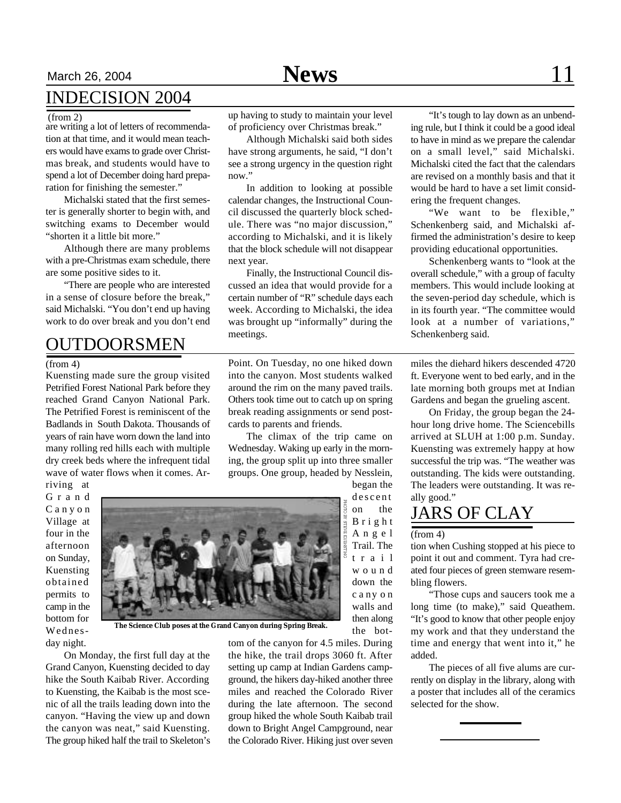## March 26, 2004 **News** 11 INDECISION 2004

#### (from 2)

are writing a lot of letters of recommendation at that time, and it would mean teachers would have exams to grade over Christmas break, and students would have to spend a lot of December doing hard preparation for finishing the semester."

Michalski stated that the first semester is generally shorter to begin with, and switching exams to December would "shorten it a little bit more."

Although there are many problems with a pre-Christmas exam schedule, there are some positive sides to it.

"There are people who are interested in a sense of closure before the break," said Michalski. "You don't end up having work to do over break and you don't end

### OUTDOORSMEN

(from 4)

Kuensting made sure the group visited Petrified Forest National Park before they reached Grand Canyon National Park. The Petrified Forest is reminiscent of the Badlands in South Dakota. Thousands of years of rain have worn down the land into many rolling red hills each with multiple dry creek beds where the infrequent tidal wave of water flows when it comes. Arriving at

G r a n d C a n y o n Village at four in the afternoon on Sunday, Kuensting obtained permits to camp in the bottom for Wednesday night.



**The Science Club poses at the Grand Canyon during Spring Break.**

On Monday, the first full day at the Grand Canyon, Kuensting decided to day hike the South Kaibab River. According to Kuensting, the Kaibab is the most scenic of all the trails leading down into the canyon. "Having the view up and down the canyon was neat," said Kuensting. The group hiked half the trail to Skeleton's up having to study to maintain your level of proficiency over Christmas break."

Although Michalski said both sides have strong arguments, he said, "I don't see a strong urgency in the question right now."

In addition to looking at possible calendar changes, the Instructional Council discussed the quarterly block schedule. There was "no major discussion," according to Michalski, and it is likely that the block schedule will not disappear next year.

Finally, the Instructional Council discussed an idea that would provide for a certain number of "R" schedule days each week. According to Michalski, the idea was brought up "informally" during the meetings.

Point. On Tuesday, no one hiked down into the canyon. Most students walked around the rim on the many paved trails. Others took time out to catch up on spring break reading assignments or send postcards to parents and friends.

The climax of the trip came on Wednesday. Waking up early in the morning, the group split up into three smaller groups. One group, headed by Nesslein, began the

tom of the canyon for 4.5 miles. During the hike, the trail drops 3060 ft. After setting up camp at Indian Gardens campground, the hikers day-hiked another three miles and reached the Colorado River during the late afternoon. The second group hiked the whole South Kaibab trail down to Bright Angel Campground, near the Colorado River. Hiking just over seven

"It's tough to lay down as an unbending rule, but I think it could be a good ideal to have in mind as we prepare the calendar on a small level," said Michalski. Michalski cited the fact that the calendars are revised on a monthly basis and that it would be hard to have a set limit considering the frequent changes.

"We want to be flexible," Schenkenberg said, and Michalski affirmed the administration's desire to keep providing educational opportunities.

Schenkenberg wants to "look at the overall schedule," with a group of faculty members. This would include looking at the seven-period day schedule, which is in its fourth year. "The committee would look at a number of variations," Schenkenberg said.

miles the diehard hikers descended 4720 ft. Everyone went to bed early, and in the late morning both groups met at Indian Gardens and began the grueling ascent.

On Friday, the group began the 24 hour long drive home. The Sciencebills arrived at SLUH at 1:00 p.m. Sunday. Kuensting was extremely happy at how successful the trip was. "The weather was outstanding. The kids were outstanding. The leaders were outstanding. It was really good."

## JARS OF CLAY

#### (from 4)

descent

the bot-

tion when Cushing stopped at his piece to point it out and comment. Tyra had created four pieces of green stemware resembling flowers.

"Those cups and saucers took me a long time (to make)," said Queathem. "It's good to know that other people enjoy my work and that they understand the time and energy that went into it," he added.

The pieces of all five alums are currently on display in the library, along with a poster that includes all of the ceramics selected for the show.